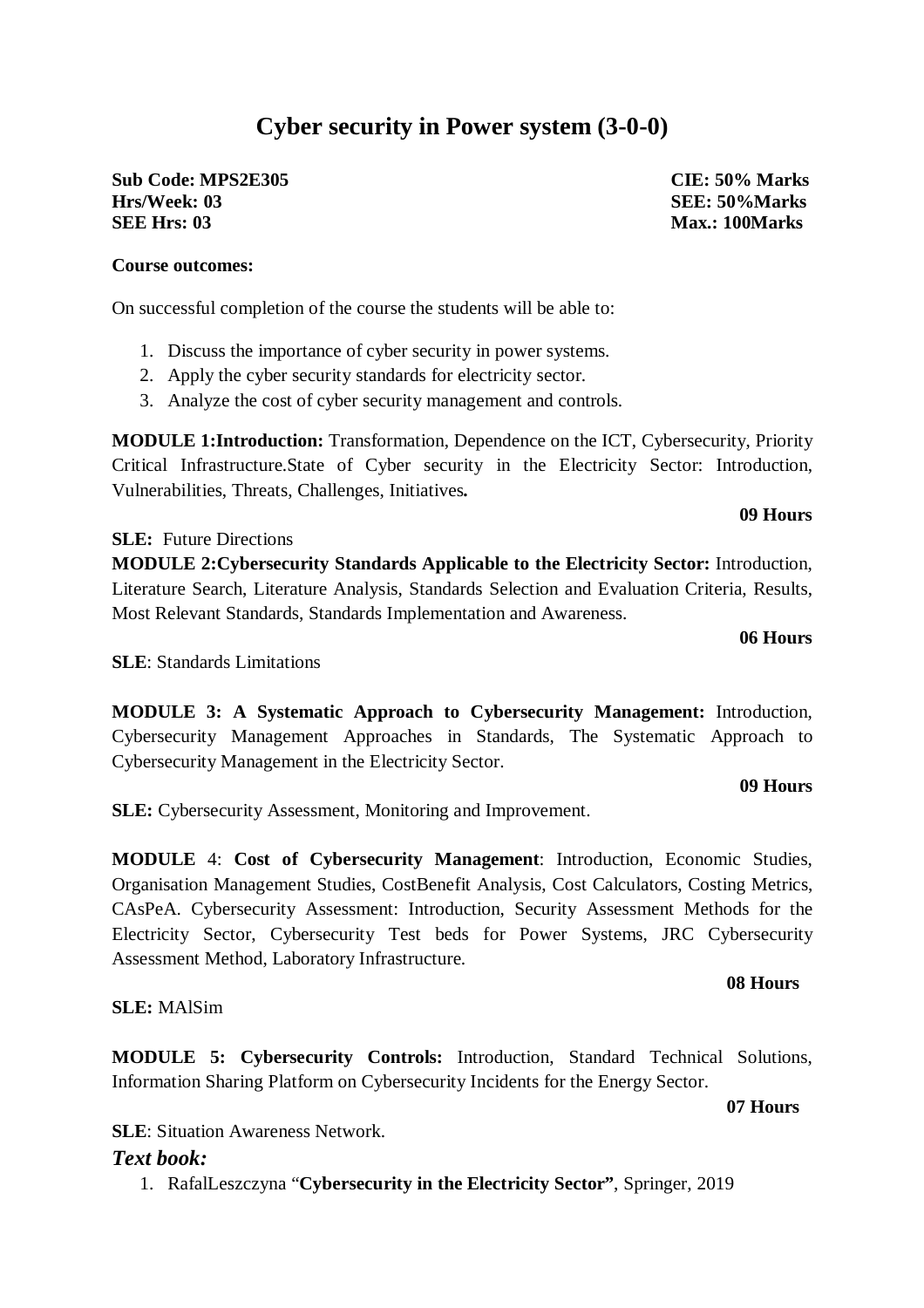# **Cyber security in Power system (3-0-0)**

**Sub Code: MPS2E305 CIE: 50% Marks Hrs/Week: 03 SEE: 50%Marks SEE Hrs: 03** Max.: 100Marks

## **Course outcomes:**

On successful completion of the course the students will be able to:

- 1. Discuss the importance of cyber security in power systems.
- 2. Apply the cyber security standards for electricity sector.
- 3. Analyze the cost of cyber security management and controls.

**MODULE 1:Introduction:** Transformation, Dependence on the ICT, Cybersecurity, Priority Critical Infrastructure.State of Cyber security in the Electricity Sector: Introduction, Vulnerabilities, Threats, Challenges, Initiatives**.** 

**SLE:** Future Directions

**MODULE 2:Cybersecurity Standards Applicable to the Electricity Sector:** Introduction, Literature Search, Literature Analysis, Standards Selection and Evaluation Criteria, Results, Most Relevant Standards, Standards Implementation and Awareness.

**06 Hours**

**09 Hours**

**SLE**: Standards Limitations

**MODULE 3: A Systematic Approach to Cybersecurity Management:** Introduction, Cybersecurity Management Approaches in Standards, The Systematic Approach to Cybersecurity Management in the Electricity Sector.

#### **09 Hours**

**SLE:** Cybersecurity Assessment, Monitoring and Improvement.

**MODULE** 4: **Cost of Cybersecurity Management**: Introduction, Economic Studies, Organisation Management Studies, CostBenefit Analysis, Cost Calculators, Costing Metrics, CAsPeA. Cybersecurity Assessment: Introduction, Security Assessment Methods for the Electricity Sector, Cybersecurity Test beds for Power Systems, JRC Cybersecurity Assessment Method, Laboratory Infrastructure.

# **08 Hours**

## **SLE:** MAlSim

**MODULE 5: Cybersecurity Controls:** Introduction, Standard Technical Solutions, Information Sharing Platform on Cybersecurity Incidents for the Energy Sector.

**07 Hours**

**SLE**: Situation Awareness Network.

# *Text book:*

1. RafalLeszczyna "**Cybersecurity in the Electricity Sector"**, Springer, 2019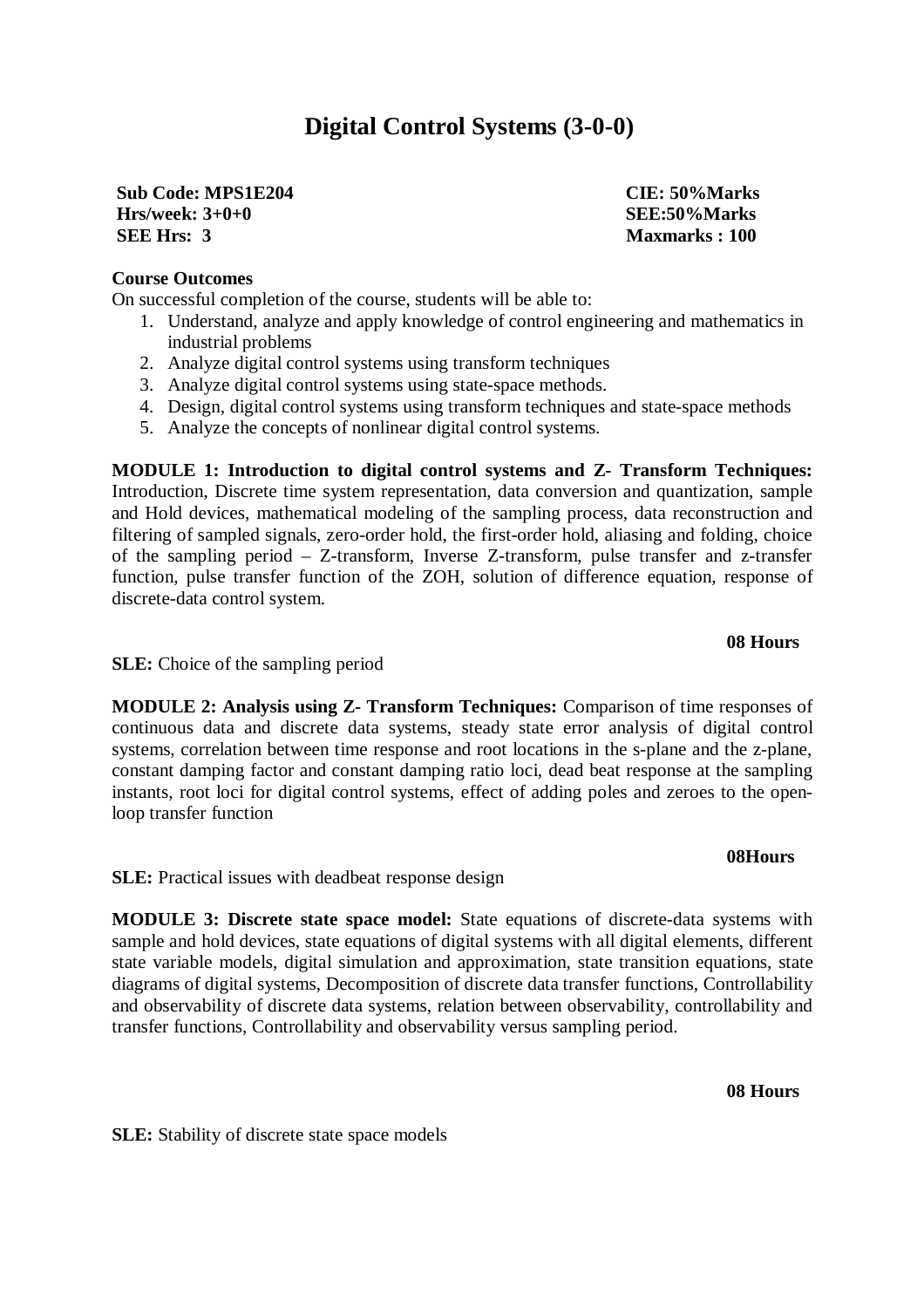# **Digital Control Systems (3-0-0)**

**Sub Code: MPS1E204 CIE: 50%Marks Hrs/week: 3+0+0 SEE:50%Marks SEE Hrs: 3 Maxmarks : 100**

# **Course Outcomes**

On successful completion of the course, students will be able to:

- 1. Understand, analyze and apply knowledge of control engineering and mathematics in industrial problems
- 2. Analyze digital control systems using transform techniques
- 3. Analyze digital control systems using state-space methods.
- 4. Design, digital control systems using transform techniques and state-space methods
- 5. Analyze the concepts of nonlinear digital control systems.

**MODULE 1: Introduction to digital control systems and Z- Transform Techniques:** Introduction, Discrete time system representation, data conversion and quantization, sample and Hold devices, mathematical modeling of the sampling process, data reconstruction and filtering of sampled signals, zero-order hold, the first-order hold, aliasing and folding, choice of the sampling period – Z-transform, Inverse Z-transform, pulse transfer and z-transfer function, pulse transfer function of the ZOH, solution of difference equation, response of discrete-data control system.

### **08 Hours**

**SLE:** Choice of the sampling period

**MODULE 2: Analysis using Z- Transform Techniques:** Comparison of time responses of continuous data and discrete data systems, steady state error analysis of digital control systems, correlation between time response and root locations in the s-plane and the z-plane, constant damping factor and constant damping ratio loci, dead beat response at the sampling instants, root loci for digital control systems, effect of adding poles and zeroes to the openloop transfer function

#### **08Hours**

**SLE:** Practical issues with deadbeat response design

**MODULE 3: Discrete state space model:** State equations of discrete-data systems with sample and hold devices, state equations of digital systems with all digital elements, different state variable models, digital simulation and approximation, state transition equations, state diagrams of digital systems, Decomposition of discrete data transfer functions, Controllability and observability of discrete data systems, relation between observability, controllability and transfer functions, Controllability and observability versus sampling period.

**08 Hours**

**SLE:** Stability of discrete state space models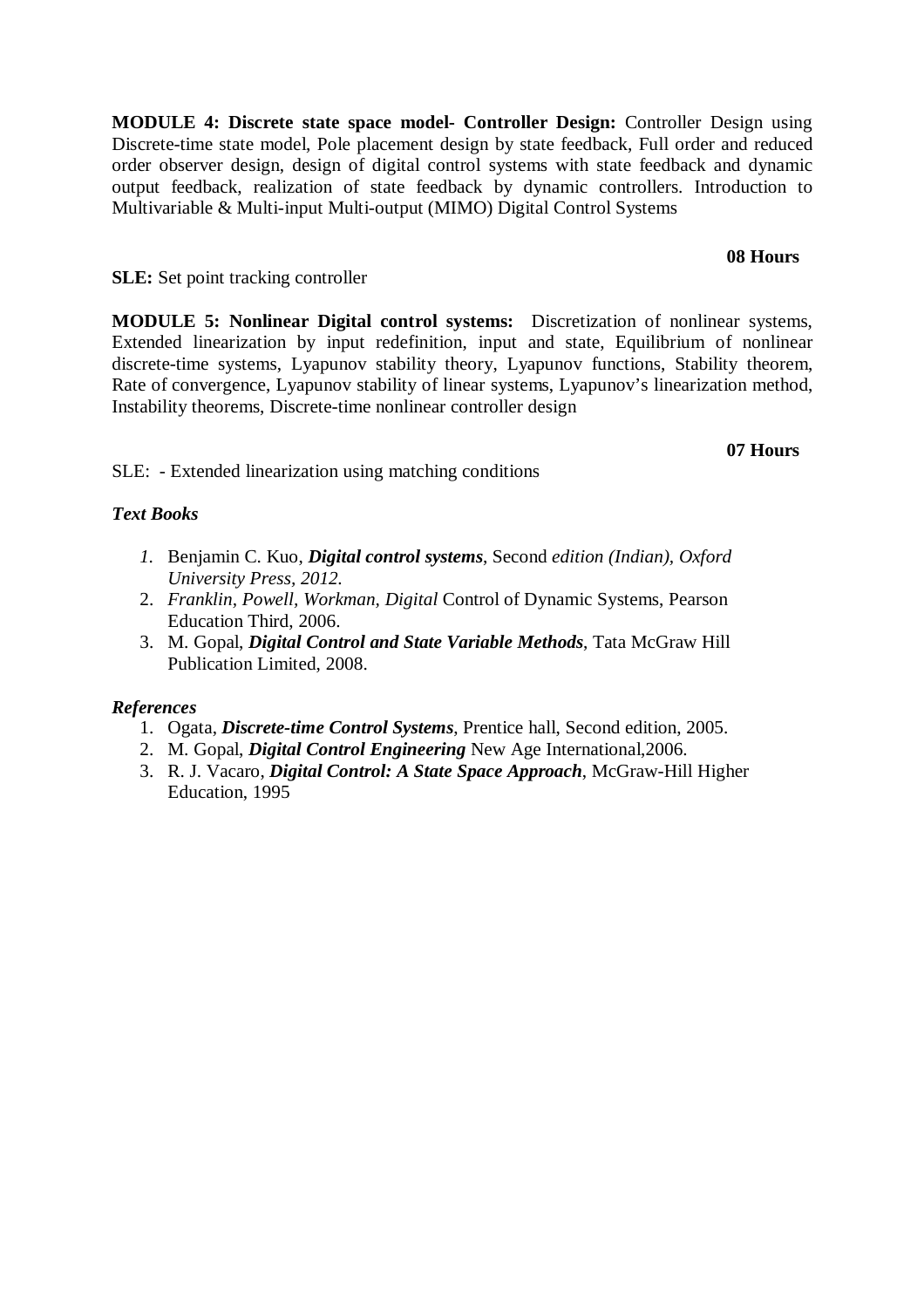**MODULE 4: Discrete state space model- Controller Design:** Controller Design using Discrete-time state model, Pole placement design by state feedback, Full order and reduced order observer design, design of digital control systems with state feedback and dynamic output feedback, realization of state feedback by dynamic controllers. Introduction to Multivariable & Multi-input Multi-output (MIMO) Digital Control Systems

### **08 Hours**

**SLE:** Set point tracking controller

**MODULE 5: Nonlinear Digital control systems:** Discretization of nonlinear systems, Extended linearization by input redefinition, input and state, Equilibrium of nonlinear discrete-time systems, Lyapunov stability theory, Lyapunov functions, Stability theorem, Rate of convergence, Lyapunov stability of linear systems, Lyapunov's linearization method, Instability theorems, Discrete-time nonlinear controller design

### **07 Hours**

SLE: - Extended linearization using matching conditions

# *Text Books*

- *1.* Benjamin C. Kuo, *Digital control systems*, Second *edition (Indian), Oxford University Press, 2012.*
- 2. *Franklin, Powell, Workman, Digital* Control of Dynamic Systems, Pearson Education Third, 2006.
- 3. M. Gopal, *Digital Control and State Variable Methods*, Tata McGraw Hill Publication Limited, 2008.

## *References*

- 1. Ogata, *Discrete-time Control Systems*, Prentice hall, Second edition, 2005.
- 2. M. Gopal, *Digital Control Engineering* New Age International,2006.
- 3. R. J. Vacaro, *Digital Control: A State Space Approach*, McGraw-Hill Higher Education, 1995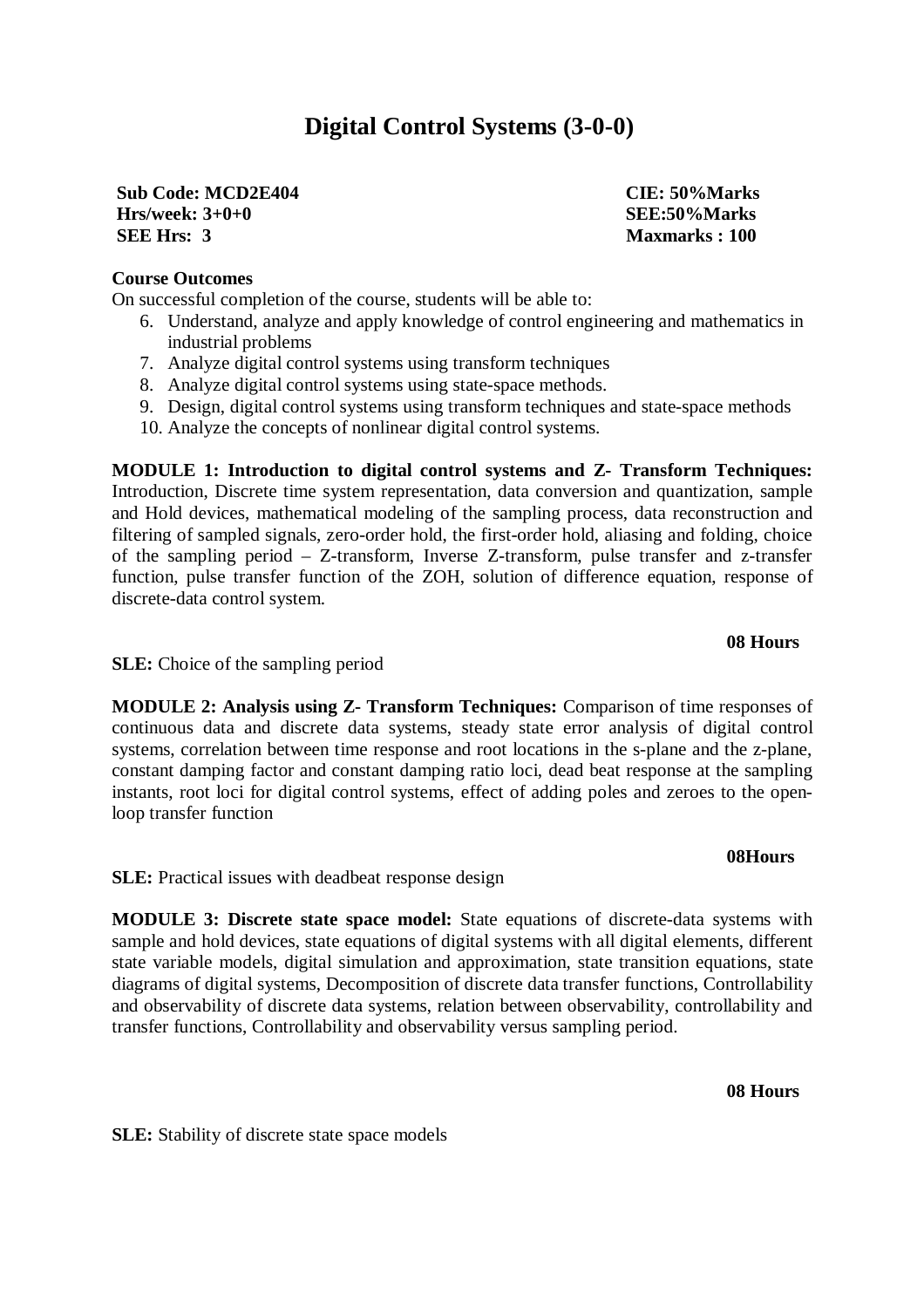# **Digital Control Systems (3-0-0)**

**Sub Code: MCD2E404 CIE: 50%Marks Hrs/week: 3+0+0 SEE:50%Marks SEE Hrs: 3 Maxmarks : 100**

# **Course Outcomes**

On successful completion of the course, students will be able to:

- 6. Understand, analyze and apply knowledge of control engineering and mathematics in industrial problems
- 7. Analyze digital control systems using transform techniques
- 8. Analyze digital control systems using state-space methods.
- 9. Design, digital control systems using transform techniques and state-space methods
- 10. Analyze the concepts of nonlinear digital control systems.

**MODULE 1: Introduction to digital control systems and Z- Transform Techniques:** Introduction, Discrete time system representation, data conversion and quantization, sample and Hold devices, mathematical modeling of the sampling process, data reconstruction and filtering of sampled signals, zero-order hold, the first-order hold, aliasing and folding, choice of the sampling period – Z-transform, Inverse Z-transform, pulse transfer and z-transfer function, pulse transfer function of the ZOH, solution of difference equation, response of discrete-data control system.

### **08 Hours**

**SLE:** Choice of the sampling period

**MODULE 2: Analysis using Z- Transform Techniques:** Comparison of time responses of continuous data and discrete data systems, steady state error analysis of digital control systems, correlation between time response and root locations in the s-plane and the z-plane, constant damping factor and constant damping ratio loci, dead beat response at the sampling instants, root loci for digital control systems, effect of adding poles and zeroes to the openloop transfer function

#### **08Hours**

**SLE:** Practical issues with deadbeat response design

**MODULE 3: Discrete state space model:** State equations of discrete-data systems with sample and hold devices, state equations of digital systems with all digital elements, different state variable models, digital simulation and approximation, state transition equations, state diagrams of digital systems, Decomposition of discrete data transfer functions, Controllability and observability of discrete data systems, relation between observability, controllability and transfer functions, Controllability and observability versus sampling period.

**08 Hours**

**SLE:** Stability of discrete state space models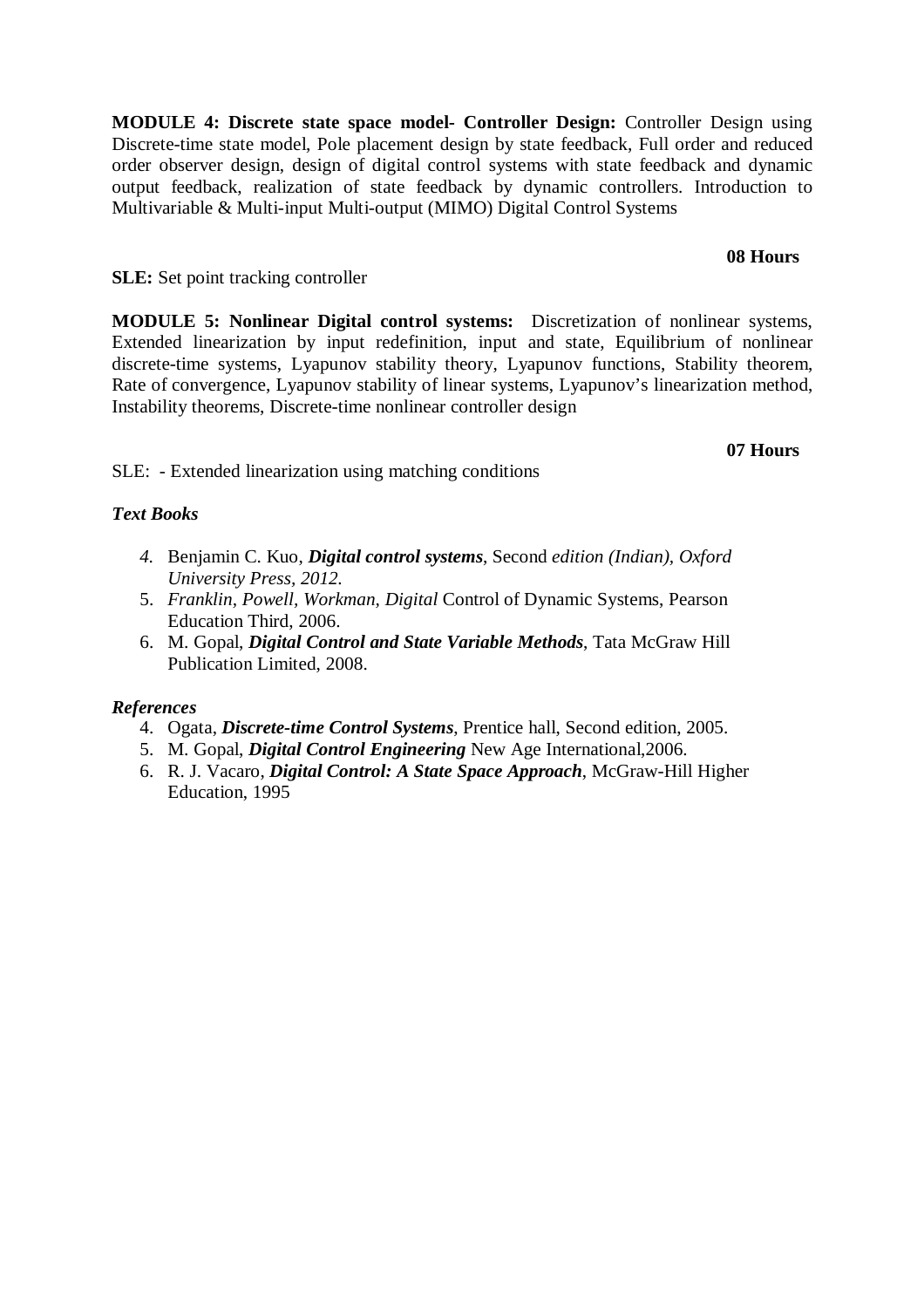**MODULE 4: Discrete state space model- Controller Design:** Controller Design using Discrete-time state model, Pole placement design by state feedback, Full order and reduced order observer design, design of digital control systems with state feedback and dynamic output feedback, realization of state feedback by dynamic controllers. Introduction to Multivariable & Multi-input Multi-output (MIMO) Digital Control Systems

### **08 Hours**

**SLE:** Set point tracking controller

**MODULE 5: Nonlinear Digital control systems:** Discretization of nonlinear systems, Extended linearization by input redefinition, input and state, Equilibrium of nonlinear discrete-time systems, Lyapunov stability theory, Lyapunov functions, Stability theorem, Rate of convergence, Lyapunov stability of linear systems, Lyapunov's linearization method, Instability theorems, Discrete-time nonlinear controller design

### **07 Hours**

SLE: - Extended linearization using matching conditions

# *Text Books*

- *4.* Benjamin C. Kuo, *Digital control systems*, Second *edition (Indian), Oxford University Press, 2012.*
- 5. *Franklin, Powell, Workman, Digital* Control of Dynamic Systems, Pearson Education Third, 2006.
- 6. M. Gopal, *Digital Control and State Variable Methods*, Tata McGraw Hill Publication Limited, 2008.

## *References*

- 4. Ogata, *Discrete-time Control Systems*, Prentice hall, Second edition, 2005.
- 5. M. Gopal, *Digital Control Engineering* New Age International,2006.
- 6. R. J. Vacaro, *Digital Control: A State Space Approach*, McGraw-Hill Higher Education, 1995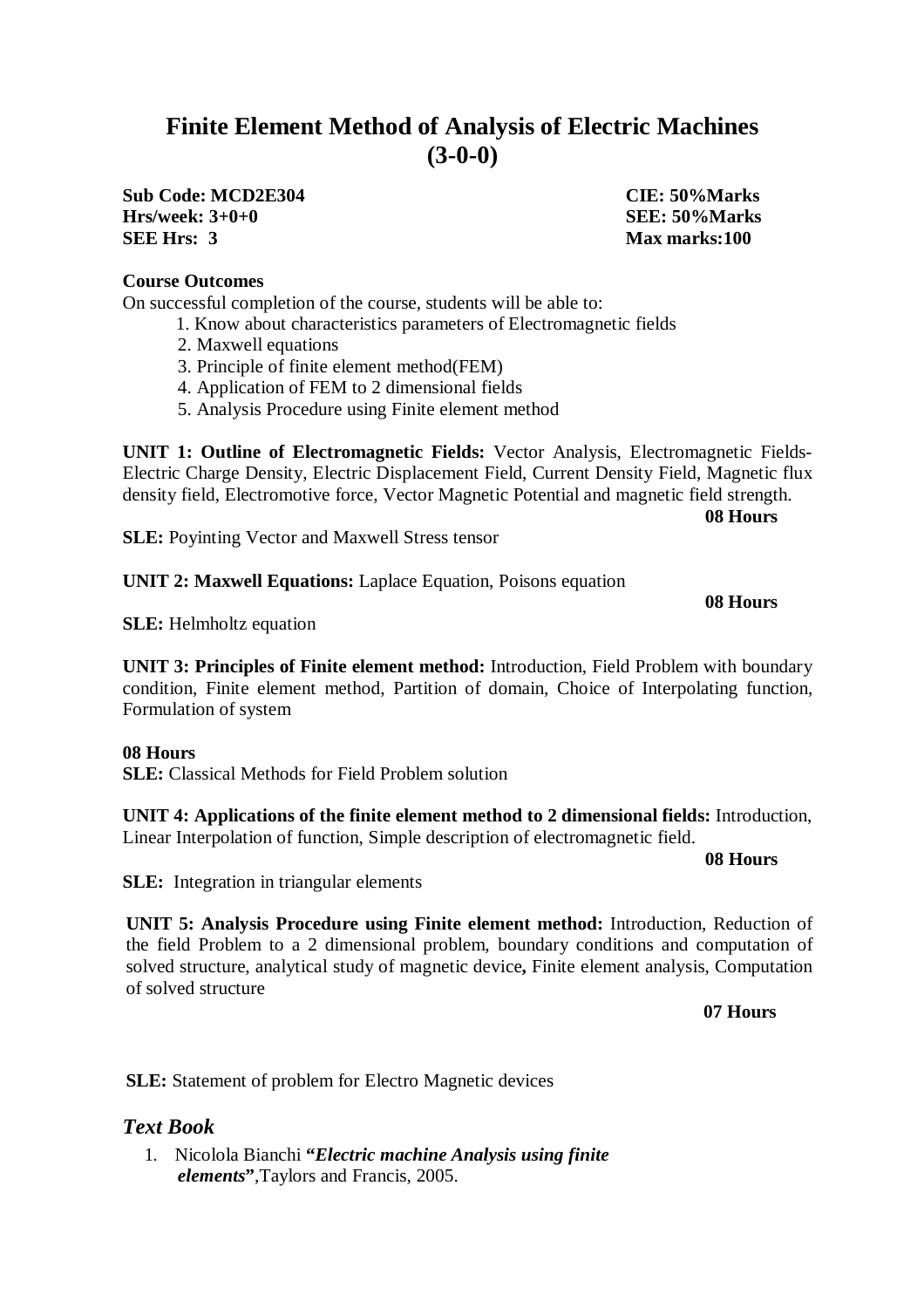# **Finite Element Method of Analysis of Electric Machines (3-0-0)**

**Sub Code: MCD2E304 CIE: 50%Marks Hrs/week: 3+0+0 SEE: 50%Marks SEE Hrs: 3 Max marks:100**

# **Course Outcomes**

On successful completion of the course, students will be able to:

- 1. Know about characteristics parameters of Electromagnetic fields
- 2. Maxwell equations
- 3. Principle of finite element method(FEM)
- 4. Application of FEM to 2 dimensional fields
- 5. Analysis Procedure using Finite element method

**UNIT 1: Outline of Electromagnetic Fields:** Vector Analysis, Electromagnetic Fields-Electric Charge Density, Electric Displacement Field, Current Density Field, Magnetic flux density field, Electromotive force, Vector Magnetic Potential and magnetic field strength.

 **08 Hours** 

**SLE:** Poyinting Vector and Maxwell Stress tensor

**UNIT 2: Maxwell Equations:** Laplace Equation, Poisons equation

### **08 Hours**

**SLE:** Helmholtz equation

**UNIT 3: Principles of Finite element method:** Introduction, Field Problem with boundary condition, Finite element method, Partition of domain, Choice of Interpolating function, Formulation of system

#### **08 Hours**

**SLE:** Classical Methods for Field Problem solution

**UNIT 4: Applications of the finite element method to 2 dimensional fields:** Introduction, Linear Interpolation of function, Simple description of electromagnetic field.

**08 Hours** 

**SLE:** Integration in triangular elements

**UNIT 5: Analysis Procedure using Finite element method:** Introduction, Reduction of the field Problem to a 2 dimensional problem, boundary conditions and computation of solved structure, analytical study of magnetic device**,** Finite element analysis, Computation of solved structure

**07 Hours** 

**SLE:** Statement of problem for Electro Magnetic devices

# *Text Book*

1. Nicolola Bianchi **"***Electric machine Analysis using finite elements***"**,Taylors and Francis, 2005.